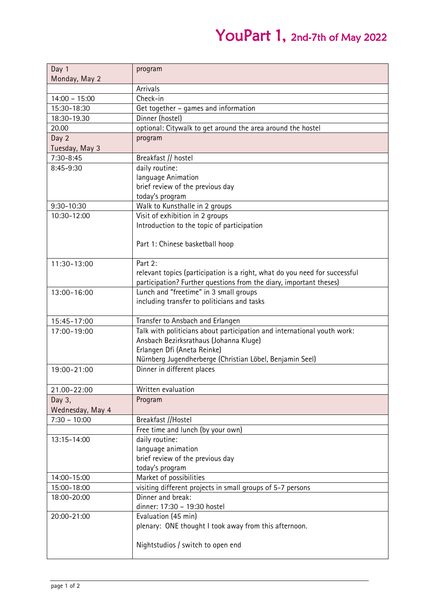## YouPart 1, 2nd-7th of May 2022

| Day 1            | program                                                                    |
|------------------|----------------------------------------------------------------------------|
| Monday, May 2    |                                                                            |
|                  | Arrivals                                                                   |
| $14:00 - 15:00$  | Check-in                                                                   |
| 15:30-18:30      | Get together - games and information                                       |
| 18:30-19.30      | Dinner (hostel)                                                            |
| 20.00            | optional: Citywalk to get around the area around the hostel                |
| Day 2            | program                                                                    |
| Tuesday, May 3   |                                                                            |
| 7:30-8:45        | Breakfast // hostel                                                        |
| 8:45-9:30        | daily routine:                                                             |
|                  | language Animation                                                         |
|                  | brief review of the previous day                                           |
|                  | today's program                                                            |
| 9:30-10:30       | Walk to Kunsthalle in 2 groups                                             |
| 10:30-12:00      | Visit of exhibition in 2 groups                                            |
|                  | Introduction to the topic of participation                                 |
|                  |                                                                            |
|                  | Part 1: Chinese basketball hoop                                            |
|                  |                                                                            |
| 11:30-13:00      | Part 2:                                                                    |
|                  | relevant topics (participation is a right, what do you need for successful |
|                  | participation? Further questions from the diary, important theses)         |
| 13:00-16:00      | Lunch and "freetime" in 3 small groups                                     |
|                  | including transfer to politicians and tasks                                |
|                  |                                                                            |
| 15:45-17:00      | Transfer to Ansbach and Erlangen                                           |
| 17:00-19:00      | Talk with politicians about participation and international youth work:    |
|                  | Ansbach Bezirksrathaus (Johanna Kluge)                                     |
|                  | Erlangen Dfi (Aneta Reinke)                                                |
|                  | Nürnberg Jugendherberge (Christian Löbel, Benjamin Seel)                   |
| 19:00-21:00      | Dinner in different places                                                 |
|                  |                                                                            |
| 21.00-22:00      | Written evaluation                                                         |
| Day 3,           | Program                                                                    |
| Wednesday, May 4 |                                                                            |
| $7:30 - 10:00$   | Breakfast //Hostel                                                         |
|                  | Free time and lunch (by your own)                                          |
| 13:15-14:00      | daily routine:                                                             |
|                  | language animation                                                         |
|                  | brief review of the previous day                                           |
|                  | today's program                                                            |
| 14:00-15:00      | Market of possibilities                                                    |
| 15:00-18:00      | visiting different projects in small groups of 5-7 persons                 |
| 18:00-20:00      | Dinner and break:                                                          |
|                  | dinner: 17:30 - 19:30 hostel                                               |
| 20:00-21:00      | Evaluation (45 min)                                                        |
|                  | plenary: ONE thought I took away from this afternoon.                      |
|                  |                                                                            |
|                  | Nightstudios / switch to open end                                          |
|                  |                                                                            |